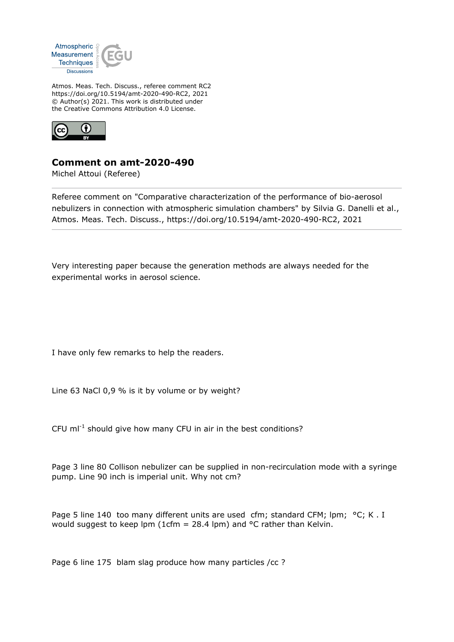

Atmos. Meas. Tech. Discuss., referee comment RC2 https://doi.org/10.5194/amt-2020-490-RC2, 2021 © Author(s) 2021. This work is distributed under the Creative Commons Attribution 4.0 License.



## **Comment on amt-2020-490**

Michel Attoui (Referee)

Referee comment on "Comparative characterization of the performance of bio-aerosol nebulizers in connection with atmospheric simulation chambers" by Silvia G. Danelli et al., Atmos. Meas. Tech. Discuss., https://doi.org/10.5194/amt-2020-490-RC2, 2021

Very interesting paper because the generation methods are always needed for the experimental works in aerosol science.

I have only few remarks to help the readers.

Line 63 NaCl 0,9 % is it by volume or by weight?

CFU  $ml^{-1}$  should give how many CFU in air in the best conditions?

Page 3 line 80 Collison nebulizer can be supplied in non-recirculation mode with a syringe pump. Line 90 inch is imperial unit. Why not cm?

Page 5 line 140 too many different units are used cfm; standard CFM; lpm; °C; K. I would suggest to keep lpm (1cfm = 28.4 lpm) and  $\degree$ C rather than Kelvin.

Page 6 line 175 blam slag produce how many particles /cc ?